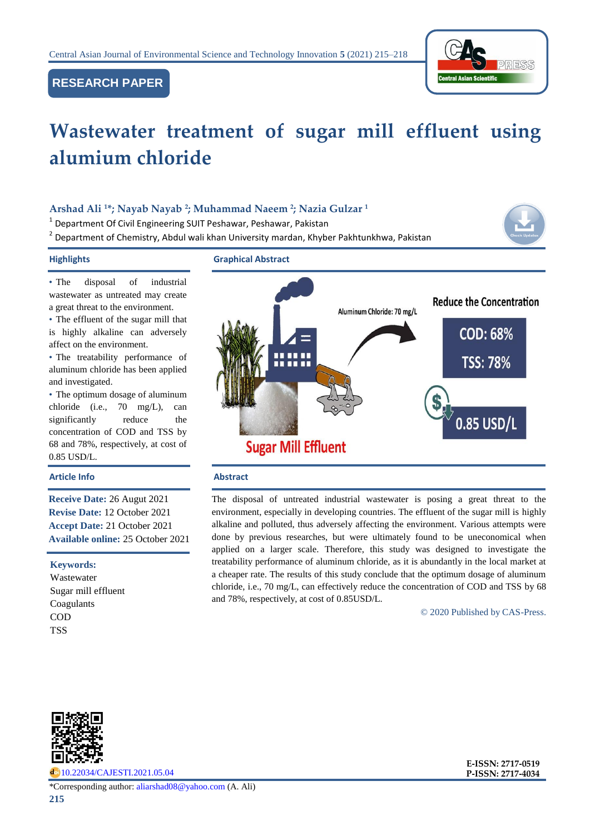

# **RESEARCH PAPER**

# **Wastewater treatment of sugar mill effluent using alumium chloride**

# **Arshad Ali <sup>1</sup>\*; Nayab Nayab <sup>2</sup> ; Muhammad Naeem <sup>2</sup> ; Nazia Gulzar <sup>1</sup>**

<sup>1</sup> Department Of Civil Engineering SUIT Peshawar, Peshawar, Pakistan

<sup>2</sup> Department of Chemistry, Abdul wali khan University mardan, Khyber Pakhtunkhwa, Pakistan

• The disposal of industrial wastewater as untreated may create a great threat to the environment.

• The effluent of the sugar mill that is highly alkaline can adversely affect on the environment.

• The treatability performance of aluminum chloride has been applied and investigated.

• The optimum dosage of aluminum chloride (i.e., 70 mg/L), can significantly reduce the concentration of COD and TSS by 68 and 78%, respectively, at cost of 0.85 USD/L.

### **Article Info Abstract**

**Receive Date:** 26 Augut 2021 **Revise Date:** 12 October 2021 **Accept Date:** 21 October 2021 **Available online:** 25 October 2021

### **Keywords:**

Wastewater Sugar mill effluent Coagulants COD **TSS** 



The disposal of untreated industrial wastewater is posing a great threat to the environment, especially in developing countries. The effluent of the sugar mill is highly alkaline and polluted, thus adversely affecting the environment. Various attempts were done by previous researches, but were ultimately found to be uneconomical when applied on a larger scale. Therefore, this study was designed to investigate the treatability performance of aluminum chloride, as it is abundantly in the local market at a cheaper rate. The results of this study conclude that the optimum dosage of aluminum chloride, i.e., 70 mg/L, can effectively reduce the concentration of COD and TSS by 68 and 78%, respectively, at cost of 0.85USD/L.

© 2020 Published by CAS-Press.



do) [10.22034/CAJESTI.2021.05.04](https://www.cas-press.com/article_139577.html)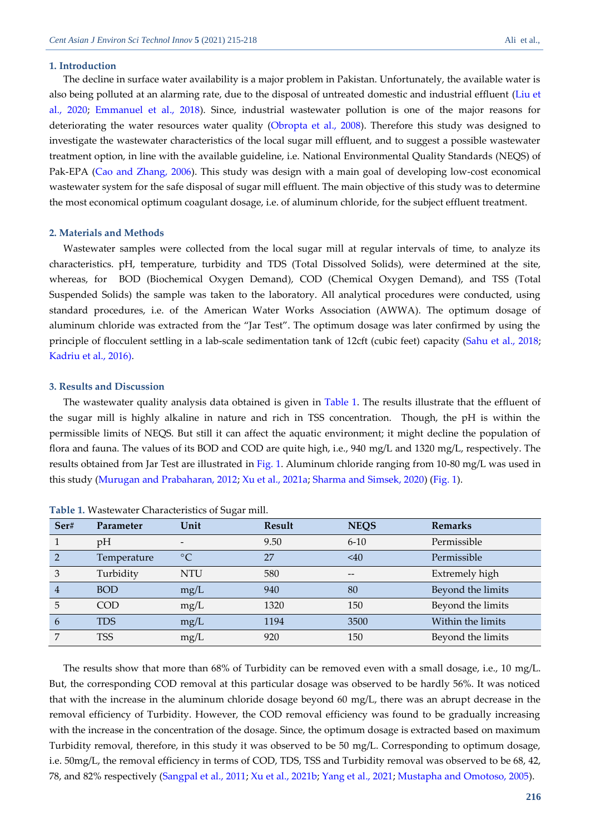#### **1. Introduction**

The decline in surface water availability is a major problem in Pakistan. Unfortunately, the available water is also being polluted at an alarming rate, due to the disposal of untreated domestic and industrial effluent [\(Liu et](#page-3-0)  [al., 2020;](#page-3-0) [Emmanuel et al., 2018\)](#page-3-1). Since, industrial wastewater pollution is one of the major reasons for deteriorating the water resources water quality [\(Obropta et al., 2008\)](#page-3-2). Therefore this study was designed to investigate the wastewater characteristics of the local sugar mill effluent, and to suggest a possible wastewater treatment option, in line with the available guideline, i.e. National Environmental Quality Standards (NEQS) of Pak-EPA [\(Cao and Zhang, 2006\)](#page-3-0). This study was design with a main goal of developing low-cost economical wastewater system for the safe disposal of sugar mill effluent. The main objective of this study was to determine the most economical optimum coagulant dosage, i.e. of aluminum chloride, for the subject effluent treatment.

#### **2. Materials and Methods**

Wastewater samples were collected from the local sugar mill at regular intervals of time, to analyze its characteristics. pH, temperature, turbidity and TDS (Total Dissolved Solids), were determined at the site, whereas, for BOD (Biochemical Oxygen Demand), COD (Chemical Oxygen Demand), and TSS (Total Suspended Solids) the sample was taken to the laboratory. All analytical procedures were conducted, using standard procedures, i.e. of the American Water Works Association (AWWA). The optimum dosage of aluminum chloride was extracted from the "Jar Test". The optimum dosage was later confirmed by using the principle of flocculent settling in a lab-scale sedimentation tank of 12cft (cubic feet) capacity [\(Sahu et al., 2018;](#page-3-3)  [Kadriu et al., 2016\)](#page-3-4).

#### **3. Results and Discussion**

The wastewater quality analysis data obtained is given in [Table 1.](#page-1-0) The results illustrate that the effluent of the sugar mill is highly alkaline in nature and rich in TSS concentration. Though, the pH is within the permissible limits of NEQS. But still it can affect the aquatic environment; it might decline the population of flora and fauna. The values of its BOD and COD are quite high, i.e., 940 mg/L and 1320 mg/L, respectively. The results obtained from Jar Test are illustrated in [Fig. 1.](#page-2-0) Aluminum chloride ranging from 10-80 mg/L was used in this study [\(Murugan and Prabaharan, 2012;](#page-3-5) [Xu et al., 2021a;](#page-3-6) [Sharma and Simsek, 2020\)](#page-3-7) [\(Fig. 1\)](#page-2-0).

| Ser#           | Parameter   | Unit       | Result | <b>NEQS</b> | <b>Remarks</b>    |
|----------------|-------------|------------|--------|-------------|-------------------|
|                | pH          |            | 9.50   | $6 - 10$    | Permissible       |
|                | Temperature | $\circ$ C  | 27     | $\leq 40$   | Permissible       |
| 3              | Turbidity   | <b>NTU</b> | 580    | --          | Extremely high    |
| $\overline{4}$ | <b>BOD</b>  | mg/L       | 940    | 80          | Beyond the limits |
| 5              | <b>COD</b>  | mg/L       | 1320   | 150         | Beyond the limits |
| 6              | <b>TDS</b>  | mg/L       | 1194   | 3500        | Within the limits |
|                | <b>TSS</b>  | mg/L       | 920    | 150         | Beyond the limits |

<span id="page-1-0"></span>

|  |  |  | Table 1. Wastewater Characteristics of Sugar mill. |  |  |
|--|--|--|----------------------------------------------------|--|--|
|--|--|--|----------------------------------------------------|--|--|

The results show that more than 68% of Turbidity can be removed even with a small dosage, i.e., 10 mg/L. But, the corresponding COD removal at this particular dosage was observed to be hardly 56%. It was noticed that with the increase in the aluminum chloride dosage beyond 60 mg/L, there was an abrupt decrease in the removal efficiency of Turbidity. However, the COD removal efficiency was found to be gradually increasing with the increase in the concentration of the dosage. Since, the optimum dosage is extracted based on maximum Turbidity removal, therefore, in this study it was observed to be 50 mg/L. Corresponding to optimum dosage, i.e. 50mg/L, the removal efficiency in terms of COD, TDS, TSS and Turbidity removal was observed to be 68, 42, 78, and 82% respectively [\(Sangpal et al., 2011;](#page-3-2) [Xu et al., 2021b;](#page-3-8) [Yang et al., 2021;](#page-3-9) [Mustapha and Omotoso, 2005\)](#page-3-10).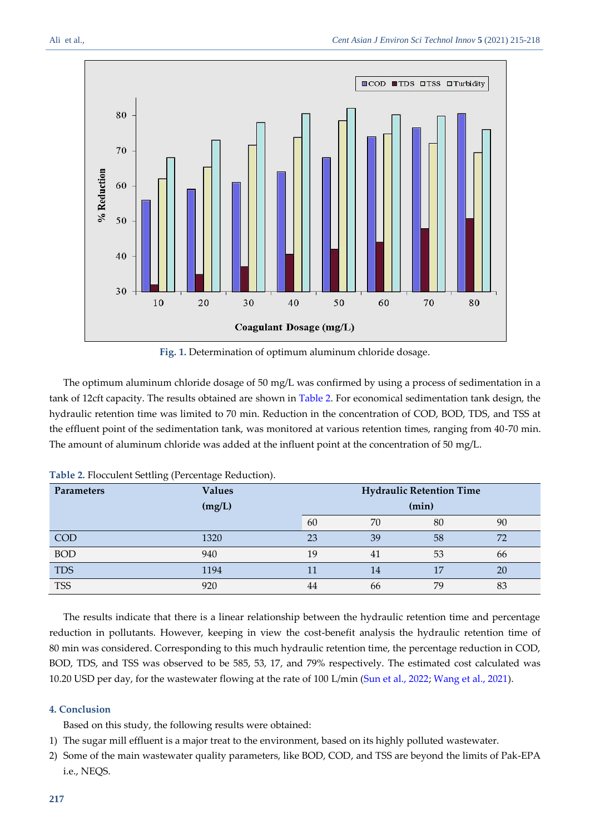

**Fig. 1.** Determination of optimum aluminum chloride dosage.

<span id="page-2-0"></span>The optimum aluminum chloride dosage of 50 mg/L was confirmed by using a process of sedimentation in a tank of 12cft capacity. The results obtained are shown in [Table 2.](#page-2-1) For economical sedimentation tank design, the hydraulic retention time was limited to 70 min. Reduction in the concentration of COD, BOD, TDS, and TSS at the effluent point of the sedimentation tank, was monitored at various retention times, ranging from 40-70 min. The amount of aluminum chloride was added at the influent point at the concentration of 50 mg/L.

| <b>Parameters</b> | <b>Values</b> |    | <b>Hydraulic Retention Time</b> |    |    |  |
|-------------------|---------------|----|---------------------------------|----|----|--|
|                   | (mg/L)        |    | (min)                           |    |    |  |
|                   |               | 60 | 70                              | 80 | 90 |  |
| <b>COD</b>        | 1320          | 23 | 39                              | 58 | 72 |  |
| <b>BOD</b>        | 940           | 19 | 41                              | 53 | 66 |  |
| <b>TDS</b>        | 1194          | 11 | 14                              |    | 20 |  |
| <b>TSS</b>        | 920           | 44 | 66                              | 79 | 83 |  |

<span id="page-2-1"></span>

|  |  | Table 2. Flocculent Settling (Percentage Reduction). |  |
|--|--|------------------------------------------------------|--|
|  |  |                                                      |  |

The results indicate that there is a linear relationship between the hydraulic retention time and percentage reduction in pollutants. However, keeping in view the cost-benefit analysis the hydraulic retention time of 80 min was considered. Corresponding to this much hydraulic retention time, the percentage reduction in COD, BOD, TDS, and TSS was observed to be 585, 53, 17, and 79% respectively. The estimated cost calculated was 10.20 USD per day, for the wastewater flowing at the rate of 100 L/min [\(Sun et al., 2022;](#page-3-2) [Wang et al., 2021\)](#page-3-11).

# **4. Conclusion**

Based on this study, the following results were obtained:

- 1) The sugar mill effluent is a major treat to the environment, based on its highly polluted wastewater.
- 2) Some of the main wastewater quality parameters, like BOD, COD, and TSS are beyond the limits of Pak-EPA i.e., NEQS.